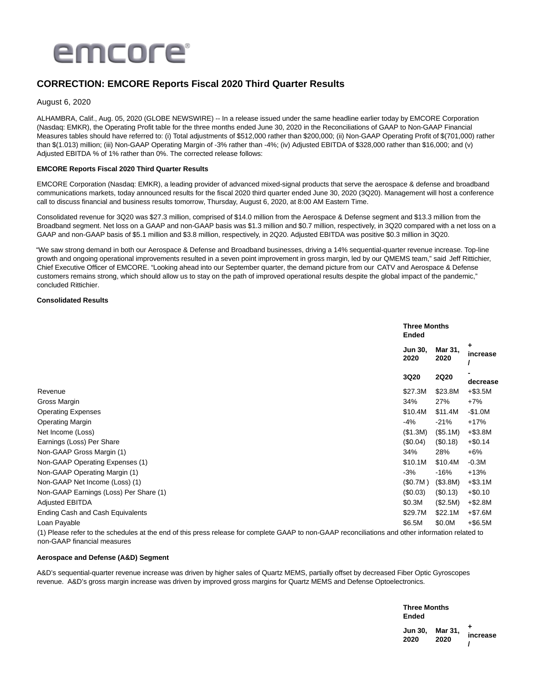

# **CORRECTION: EMCORE Reports Fiscal 2020 Third Quarter Results**

August 6, 2020

ALHAMBRA, Calif., Aug. 05, 2020 (GLOBE NEWSWIRE) -- In a release issued under the same headline earlier today by EMCORE Corporation (Nasdaq: EMKR), the Operating Profit table for the three months ended June 30, 2020 in the Reconciliations of GAAP to Non-GAAP Financial Measures tables should have referred to: (i) Total adjustments of \$512,000 rather than \$200,000; (ii) Non-GAAP Operating Profit of \$(701,000) rather than \$(1.013) million; (iii) Non-GAAP Operating Margin of -3% rather than -4%; (iv) Adjusted EBITDA of \$328,000 rather than \$16,000; and (v) Adjusted EBITDA % of 1% rather than 0%. The corrected release follows:

## **EMCORE Reports Fiscal 2020 Third Quarter Results**

EMCORE Corporation (Nasdaq: EMKR), a leading provider of advanced mixed-signal products that serve the aerospace & defense and broadband communications markets, today announced results for the fiscal 2020 third quarter ended June 30, 2020 (3Q20). Management will host a conference call to discuss financial and business results tomorrow, Thursday, August 6, 2020, at 8:00 AM Eastern Time.

Consolidated revenue for 3Q20 was \$27.3 million, comprised of \$14.0 million from the Aerospace & Defense segment and \$13.3 million from the Broadband segment. Net loss on a GAAP and non-GAAP basis was \$1.3 million and \$0.7 million, respectively, in 3Q20 compared with a net loss on a GAAP and non-GAAP basis of \$5.1 million and \$3.8 million, respectively, in 2Q20. Adjusted EBITDA was positive \$0.3 million in 3Q20.

"We saw strong demand in both our Aerospace & Defense and Broadband businesses, driving a 14% sequential-quarter revenue increase. Top-line growth and ongoing operational improvements resulted in a seven point improvement in gross margin, led by our QMEMS team," said Jeff Rittichier, Chief Executive Officer of EMCORE. "Looking ahead into our September quarter, the demand picture from our CATV and Aerospace & Defense customers remains strong, which should allow us to stay on the path of improved operational results despite the global impact of the pandemic," concluded Rittichier.

### **Consolidated Results**

|                                                                                                                                                   | Ended                  | <b>Three Months</b> |               |  |
|---------------------------------------------------------------------------------------------------------------------------------------------------|------------------------|---------------------|---------------|--|
|                                                                                                                                                   | <b>Jun 30.</b><br>2020 | Mar 31,<br>2020     | ٠<br>increase |  |
|                                                                                                                                                   | 3Q20                   | <b>2Q20</b>         | decrease      |  |
| Revenue                                                                                                                                           | \$27.3M                | \$23.8M             | $+$ \$3.5M    |  |
| Gross Margin                                                                                                                                      | 34%                    | 27%                 | $+7%$         |  |
| <b>Operating Expenses</b>                                                                                                                         | \$10.4M                | \$11.4M             | $-$1.0M$      |  |
| <b>Operating Margin</b>                                                                                                                           | $-4%$                  | $-21%$              | $+17%$        |  |
| Net Income (Loss)                                                                                                                                 | (\$1.3M)               | (\$5.1M)            | $+$ \$3.8M    |  |
| Earnings (Loss) Per Share                                                                                                                         | (\$0.04)               | (\$0.18)            | $+$ \$0.14    |  |
| Non-GAAP Gross Margin (1)                                                                                                                         | 34%                    | 28%                 | +6%           |  |
| Non-GAAP Operating Expenses (1)                                                                                                                   | \$10.1M                | \$10.4M             | $-0.3M$       |  |
| Non-GAAP Operating Margin (1)                                                                                                                     | $-3%$                  | $-16%$              | $+13%$        |  |
| Non-GAAP Net Income (Loss) (1)                                                                                                                    | (\$0.7M)               | (\$3.8M)            | $+$ \$3.1M    |  |
| Non-GAAP Earnings (Loss) Per Share (1)                                                                                                            | (\$0.03)               | (\$0.13)            | $+$ \$0.10    |  |
| Adjusted EBITDA                                                                                                                                   | \$0.3M                 | (\$2.5M)            | $+ $2.8M$     |  |
| Ending Cash and Cash Equivalents                                                                                                                  | \$29.7M                | \$22.1M             | $+ $7.6M$     |  |
| Loan Payable                                                                                                                                      | \$6.5M                 | \$0.0M              | $+$ \$6.5M    |  |
| (4) Please refer to the schedules of the end of this press releges for complete CAAD to non CAAD reconsiliations and other information related to |                        |                     |               |  |

(1) Please refer to the schedules at the end of this press release for complete GAAP to non-GAAP reconciliations and other information related to non-GAAP financial measures

### **Aerospace and Defense (A&D) Segment**

A&D's sequential-quarter revenue increase was driven by higher sales of Quartz MEMS, partially offset by decreased Fiber Optic Gyroscopes revenue. A&D's gross margin increase was driven by improved gross margins for Quartz MEMS and Defense Optoelectronics.

> **Three Months Ended**

| <b>Jun 30.</b> | Mar 31, | ٠        |
|----------------|---------|----------|
| 2020           | 2020    | increase |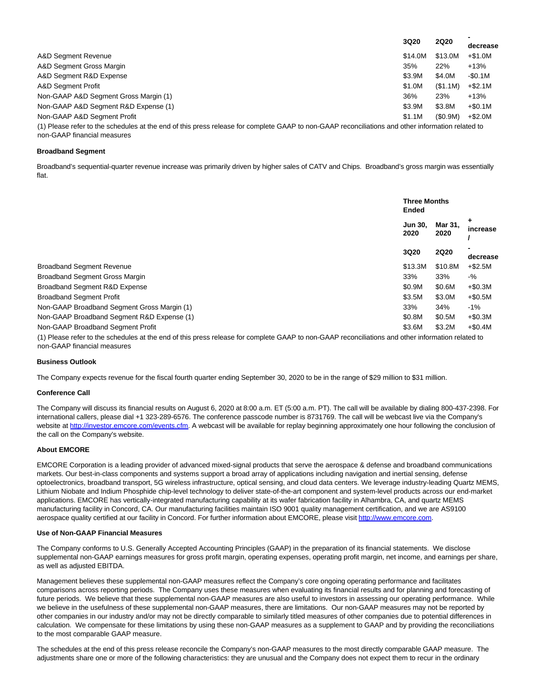|                                                                                                                                                                                  | 3Q20    | <b>2Q20</b> | decrease  |
|----------------------------------------------------------------------------------------------------------------------------------------------------------------------------------|---------|-------------|-----------|
| A&D Segment Revenue                                                                                                                                                              | \$14.0M | \$13.0M     | $+\$1.0M$ |
| A&D Segment Gross Margin                                                                                                                                                         | 35%     | 22%         | $+13%$    |
| A&D Segment R&D Expense                                                                                                                                                          | \$3.9M  | \$4.0M      | $-$0.1M$  |
| A&D Segment Profit                                                                                                                                                               | \$1.0M  | (S1.1M)     | $+ $2.1M$ |
| Non-GAAP A&D Segment Gross Margin (1)                                                                                                                                            | 36%     | 23%         | $+13%$    |
| Non-GAAP A&D Segment R&D Expense (1)                                                                                                                                             | \$3.9M  | \$3.8M      | $+$0.1M$  |
| Non-GAAP A&D Segment Profit                                                                                                                                                      | \$1.1M  | (S0.9M)     | $+ $2.0M$ |
| (1) Please refer to the schedules at the end of this press release for complete GAAP to non-GAAP reconciliations and other information related to<br>non-GAAP financial measures |         |             |           |

#### **Broadband Segment**

Broadband's sequential-quarter revenue increase was primarily driven by higher sales of CATV and Chips. Broadband's gross margin was essentially flat.

|                                                                                                                                                   | Ended                  | <b>Three Months</b> |               |  |
|---------------------------------------------------------------------------------------------------------------------------------------------------|------------------------|---------------------|---------------|--|
|                                                                                                                                                   | <b>Jun 30.</b><br>2020 | Mar 31,<br>2020     | ٠<br>increase |  |
|                                                                                                                                                   | 3Q20                   | <b>2Q20</b>         | decrease      |  |
| <b>Broadband Segment Revenue</b>                                                                                                                  | \$13.3M                | \$10.8M             | $+ $2.5M$     |  |
| <b>Broadband Segment Gross Margin</b>                                                                                                             | 33%                    | 33%                 | $-$ %         |  |
| Broadband Segment R&D Expense                                                                                                                     | \$0.9M                 | \$0.6M              | $+$0.3M$      |  |
| <b>Broadband Segment Profit</b>                                                                                                                   | \$3.5M                 | \$3.0M              | $+$0.5M$      |  |
| Non-GAAP Broadband Segment Gross Margin (1)                                                                                                       | 33%                    | 34%                 | $-1\%$        |  |
| Non-GAAP Broadband Segment R&D Expense (1)                                                                                                        | \$0.8M                 | \$0.5M              | $+$0.3M$      |  |
| Non-GAAP Broadband Segment Profit                                                                                                                 | \$3.6M                 | \$3.2M              | $+$0.4M$      |  |
| (1) Please refer to the schedules at the end of this press release for complete GAAP to non-GAAP reconciliations and other information related to |                        |                     |               |  |

(1) Please refer to the schedules at the end of this press release for complete GAAP to non-GAAP reconciliations and other information related to non-GAAP financial measures

#### **Business Outlook**

The Company expects revenue for the fiscal fourth quarter ending September 30, 2020 to be in the range of \$29 million to \$31 million.

#### **Conference Call**

The Company will discuss its financial results on August 6, 2020 at 8:00 a.m. ET (5:00 a.m. PT). The call will be available by dialing 800-437-2398. For international callers, please dial +1 323-289-6576. The conference passcode number is 8731769. The call will be webcast live via the Company's website at [http://investor.emcore.com/events.cfm.](https://www.globenewswire.com/Tracker?data=R5PFwn67PFaXPeQ5eJsG8rFSB5sGydYLzQb2F_aVPT8gIPgyc6Y-6GNoI8hyuc5QX3wZ2BLuUbXgzQeASFkX4510f3urZjBWr1grlDA55SS-IEDq4iI2w7E1DOrBp8U8Ai6PUsPD5xPdexUM7LipcA==) A webcast will be available for replay beginning approximately one hour following the conclusion of the call on the Company's website.

### **About EMCORE**

EMCORE Corporation is a leading provider of advanced mixed-signal products that serve the aerospace & defense and broadband communications markets. Our best-in-class components and systems support a broad array of applications including navigation and inertial sensing, defense optoelectronics, broadband transport, 5G wireless infrastructure, optical sensing, and cloud data centers. We leverage industry-leading Quartz MEMS, Lithium Niobate and Indium Phosphide chip-level technology to deliver state-of-the-art component and system-level products across our end-market applications. EMCORE has vertically-integrated manufacturing capability at its wafer fabrication facility in Alhambra, CA, and quartz MEMS manufacturing facility in Concord, CA. Our manufacturing facilities maintain ISO 9001 quality management certification, and we are AS9100 aerospace quality certified at our facility in Concord. For further information about EMCORE, please visi[t http://www.emcore.com.](https://www.globenewswire.com/Tracker?data=R5PFwn67PFaXPeQ5eJsG8qEGxfR_CPxyuLUFjUmdBt1uq98bnrJ1XAXs9E5vraZQuToJe3zksuNRXsm-SmBgEdyitwXC8DqLtkxx-K590hU=)

#### **Use of Non-GAAP Financial Measures**

The Company conforms to U.S. Generally Accepted Accounting Principles (GAAP) in the preparation of its financial statements. We disclose supplemental non-GAAP earnings measures for gross profit margin, operating expenses, operating profit margin, net income, and earnings per share, as well as adjusted EBITDA.

Management believes these supplemental non-GAAP measures reflect the Company's core ongoing operating performance and facilitates comparisons across reporting periods. The Company uses these measures when evaluating its financial results and for planning and forecasting of future periods. We believe that these supplemental non-GAAP measures are also useful to investors in assessing our operating performance. While we believe in the usefulness of these supplemental non-GAAP measures, there are limitations. Our non-GAAP measures may not be reported by other companies in our industry and/or may not be directly comparable to similarly titled measures of other companies due to potential differences in calculation. We compensate for these limitations by using these non-GAAP measures as a supplement to GAAP and by providing the reconciliations to the most comparable GAAP measure.

The schedules at the end of this press release reconcile the Company's non-GAAP measures to the most directly comparable GAAP measure. The adjustments share one or more of the following characteristics: they are unusual and the Company does not expect them to recur in the ordinary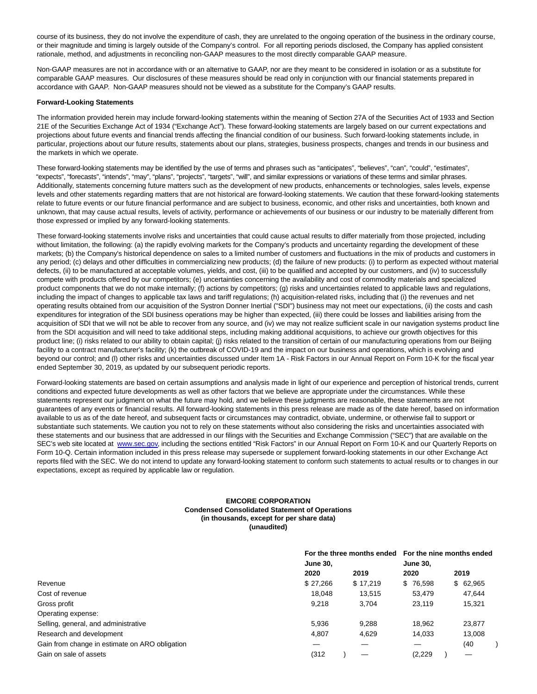course of its business, they do not involve the expenditure of cash, they are unrelated to the ongoing operation of the business in the ordinary course, or their magnitude and timing is largely outside of the Company's control. For all reporting periods disclosed, the Company has applied consistent rationale, method, and adjustments in reconciling non-GAAP measures to the most directly comparable GAAP measure.

Non-GAAP measures are not in accordance with or an alternative to GAAP, nor are they meant to be considered in isolation or as a substitute for comparable GAAP measures. Our disclosures of these measures should be read only in conjunction with our financial statements prepared in accordance with GAAP. Non-GAAP measures should not be viewed as a substitute for the Company's GAAP results.

### **Forward-Looking Statements**

The information provided herein may include forward-looking statements within the meaning of Section 27A of the Securities Act of 1933 and Section 21E of the Securities Exchange Act of 1934 ("Exchange Act"). These forward-looking statements are largely based on our current expectations and projections about future events and financial trends affecting the financial condition of our business. Such forward-looking statements include, in particular, projections about our future results, statements about our plans, strategies, business prospects, changes and trends in our business and the markets in which we operate.

These forward-looking statements may be identified by the use of terms and phrases such as "anticipates", "believes", "can", "could", "estimates", "expects", "forecasts", "intends", "may", "plans", "projects", "targets", "will", and similar expressions or variations of these terms and similar phrases. Additionally, statements concerning future matters such as the development of new products, enhancements or technologies, sales levels, expense levels and other statements regarding matters that are not historical are forward-looking statements. We caution that these forward-looking statements relate to future events or our future financial performance and are subject to business, economic, and other risks and uncertainties, both known and unknown, that may cause actual results, levels of activity, performance or achievements of our business or our industry to be materially different from those expressed or implied by any forward-looking statements.

These forward-looking statements involve risks and uncertainties that could cause actual results to differ materially from those projected, including without limitation, the following: (a) the rapidly evolving markets for the Company's products and uncertainty regarding the development of these markets; (b) the Company's historical dependence on sales to a limited number of customers and fluctuations in the mix of products and customers in any period; (c) delays and other difficulties in commercializing new products; (d) the failure of new products: (i) to perform as expected without material defects, (ii) to be manufactured at acceptable volumes, yields, and cost, (iii) to be qualified and accepted by our customers, and (iv) to successfully compete with products offered by our competitors; (e) uncertainties concerning the availability and cost of commodity materials and specialized product components that we do not make internally; (f) actions by competitors; (g) risks and uncertainties related to applicable laws and regulations, including the impact of changes to applicable tax laws and tariff regulations; (h) acquisition-related risks, including that (i) the revenues and net operating results obtained from our acquisition of the Systron Donner Inertial ("SDI") business may not meet our expectations, (ii) the costs and cash expenditures for integration of the SDI business operations may be higher than expected, (iii) there could be losses and liabilities arising from the acquisition of SDI that we will not be able to recover from any source, and (iv) we may not realize sufficient scale in our navigation systems product line from the SDI acquisition and will need to take additional steps, including making additional acquisitions, to achieve our growth objectives for this product line; (i) risks related to our ability to obtain capital; (j) risks related to the transition of certain of our manufacturing operations from our Beijing facility to a contract manufacturer's facility; (k) the outbreak of COVID-19 and the impact on our business and operations, which is evolving and beyond our control; and (l) other risks and uncertainties discussed under Item 1A - Risk Factors in our Annual Report on Form 10-K for the fiscal year ended September 30, 2019, as updated by our subsequent periodic reports.

Forward-looking statements are based on certain assumptions and analysis made in light of our experience and perception of historical trends, current conditions and expected future developments as well as other factors that we believe are appropriate under the circumstances. While these statements represent our judgment on what the future may hold, and we believe these judgments are reasonable, these statements are not guarantees of any events or financial results. All forward-looking statements in this press release are made as of the date hereof, based on information available to us as of the date hereof, and subsequent facts or circumstances may contradict, obviate, undermine, or otherwise fail to support or substantiate such statements. We caution you not to rely on these statements without also considering the risks and uncertainties associated with these statements and our business that are addressed in our filings with the Securities and Exchange Commission ("SEC") that are available on the SEC's web site located at [www.sec.gov,](http://www.sec.gov/) including the sections entitled "Risk Factors" in our Annual Report on Form 10-K and our Quarterly Reports on Form 10-Q. Certain information included in this press release may supersede or supplement forward-looking statements in our other Exchange Act reports filed with the SEC. We do not intend to update any forward-looking statement to conform such statements to actual results or to changes in our expectations, except as required by applicable law or regulation.

## **EMCORE CORPORATION Condensed Consolidated Statement of Operations (in thousands, except for per share data) (unaudited)**

|                                                |                 | For the three months ended For the nine months ended |                 |          |  |  |
|------------------------------------------------|-----------------|------------------------------------------------------|-----------------|----------|--|--|
|                                                | <b>June 30,</b> |                                                      | <b>June 30,</b> |          |  |  |
|                                                | 2020            | 2019                                                 | 2020            | 2019     |  |  |
| Revenue                                        | \$27,266        | \$17,219                                             | \$76,598        | \$62,965 |  |  |
| Cost of revenue                                | 18.048          | 13.515                                               | 53,479          | 47.644   |  |  |
| Gross profit                                   | 9.218           | 3.704                                                | 23.119          | 15,321   |  |  |
| Operating expense:                             |                 |                                                      |                 |          |  |  |
| Selling, general, and administrative           | 5.936           | 9,288                                                | 18,962          | 23,877   |  |  |
| Research and development                       | 4.807           | 4.629                                                | 14.033          | 13,008   |  |  |
| Gain from change in estimate on ARO obligation | _               |                                                      |                 | (40)     |  |  |
| Gain on sale of assets                         | (312            |                                                      | (2,229)         |          |  |  |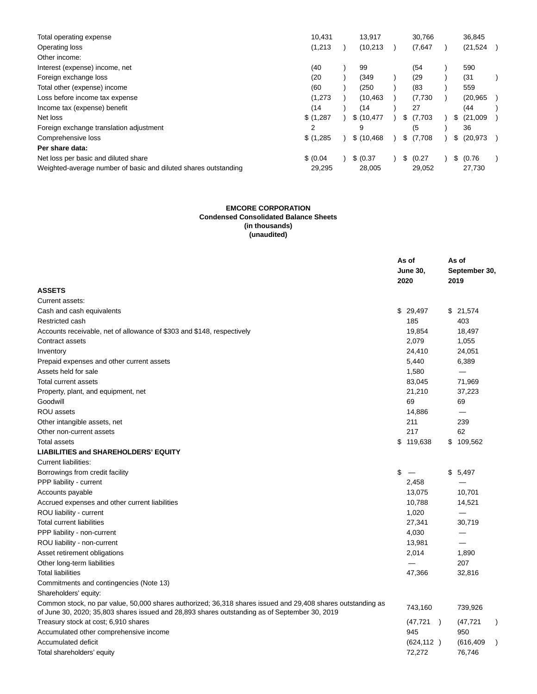| Total operating expense                                         | 10.431    | 13,917      |    | 30,766  |     | 36,845    |  |
|-----------------------------------------------------------------|-----------|-------------|----|---------|-----|-----------|--|
| Operating loss                                                  | (1,213)   | (10, 213)   |    | (7,647) |     | (21, 524) |  |
| Other income:                                                   |           |             |    |         |     |           |  |
| Interest (expense) income, net                                  | (40       | 99          |    | (54     |     | 590       |  |
| Foreign exchange loss                                           | (20       | (349        |    | (29)    |     | (31)      |  |
| Total other (expense) income                                    | (60       | (250        |    | (83     |     | 559       |  |
| Loss before income tax expense                                  | (1,273)   | (10, 463)   |    | (7,730) |     | (20, 965) |  |
| Income tax (expense) benefit                                    | (14       | (14         |    | 27      |     | (44       |  |
| Net loss                                                        | \$(1,287) | \$(10, 477) | S  | (7,703) | S.  | (21,009)  |  |
| Foreign exchange translation adjustment                         | 2         | 9           |    | (5      |     | 36        |  |
| Comprehensive loss                                              | \$(1,285) | \$(10, 468) | \$ | (7,708) | \$  | (20.973)  |  |
| Per share data:                                                 |           |             |    |         |     |           |  |
| Net loss per basic and diluted share                            | \$ (0.04) | \$ (0.37)   | \$ | (0.27)  | \$. | (0.76)    |  |
| Weighted-average number of basic and diluted shares outstanding | 29.295    | 28,005      |    | 29,052  |     | 27,730    |  |

## **EMCORE CORPORATION Condensed Consolidated Balance Sheets (in thousands) (unaudited)**

|                                                                                                                                                                                                              | As of |                 | As of         |                          |  |
|--------------------------------------------------------------------------------------------------------------------------------------------------------------------------------------------------------------|-------|-----------------|---------------|--------------------------|--|
|                                                                                                                                                                                                              |       | <b>June 30,</b> |               | September 30,            |  |
|                                                                                                                                                                                                              |       | 2020            |               | 2019                     |  |
| <b>ASSETS</b>                                                                                                                                                                                                |       |                 |               |                          |  |
| Current assets:                                                                                                                                                                                              |       |                 |               |                          |  |
| Cash and cash equivalents                                                                                                                                                                                    |       | \$29,497        |               | \$21,574                 |  |
| Restricted cash                                                                                                                                                                                              |       | 185             |               | 403                      |  |
| Accounts receivable, net of allowance of \$303 and \$148, respectively                                                                                                                                       |       | 19,854          |               | 18,497                   |  |
| Contract assets                                                                                                                                                                                              |       | 2,079           |               | 1,055                    |  |
| Inventory                                                                                                                                                                                                    |       | 24,410          |               | 24,051                   |  |
| Prepaid expenses and other current assets                                                                                                                                                                    |       | 5,440           |               | 6,389                    |  |
| Assets held for sale                                                                                                                                                                                         |       | 1,580           |               |                          |  |
| Total current assets                                                                                                                                                                                         |       | 83,045          |               | 71,969                   |  |
| Property, plant, and equipment, net                                                                                                                                                                          |       | 21,210          |               | 37,223                   |  |
| Goodwill                                                                                                                                                                                                     |       | 69              |               | 69                       |  |
| ROU assets                                                                                                                                                                                                   |       | 14,886          |               | $\overline{\phantom{0}}$ |  |
| Other intangible assets, net                                                                                                                                                                                 |       | 211             |               | 239                      |  |
| Other non-current assets                                                                                                                                                                                     |       | 217             |               | 62                       |  |
| <b>Total assets</b>                                                                                                                                                                                          |       | \$119,638       |               | \$109,562                |  |
| <b>LIABILITIES and SHAREHOLDERS' EQUITY</b>                                                                                                                                                                  |       |                 |               |                          |  |
| <b>Current liabilities:</b>                                                                                                                                                                                  |       |                 |               |                          |  |
| Borrowings from credit facility                                                                                                                                                                              | \$    |                 |               | \$5,497                  |  |
| PPP liability - current                                                                                                                                                                                      |       | 2,458           |               |                          |  |
| Accounts payable                                                                                                                                                                                             |       | 13,075          |               | 10,701                   |  |
| Accrued expenses and other current liabilities                                                                                                                                                               |       | 10,788          |               | 14,521                   |  |
| ROU liability - current                                                                                                                                                                                      |       | 1,020           |               |                          |  |
| Total current liabilities                                                                                                                                                                                    |       | 27,341          |               | 30,719                   |  |
| PPP liability - non-current                                                                                                                                                                                  |       | 4,030           |               |                          |  |
| ROU liability - non-current                                                                                                                                                                                  |       | 13,981          |               | —                        |  |
| Asset retirement obligations                                                                                                                                                                                 |       | 2,014           |               | 1,890                    |  |
| Other long-term liabilities                                                                                                                                                                                  |       |                 |               | 207                      |  |
| <b>Total liabilities</b>                                                                                                                                                                                     |       | 47,366          |               | 32,816                   |  |
| Commitments and contingencies (Note 13)                                                                                                                                                                      |       |                 |               |                          |  |
| Shareholders' equity:                                                                                                                                                                                        |       |                 |               |                          |  |
| Common stock, no par value, 50,000 shares authorized; 36,318 shares issued and 29,408 shares outstanding as<br>of June 30, 2020; 35,803 shares issued and 28,893 shares outstanding as of September 30, 2019 |       | 743,160         |               | 739,926                  |  |
| Treasury stock at cost; 6,910 shares                                                                                                                                                                         |       | (47,721         | $\rightarrow$ | (47, 721)                |  |
| Accumulated other comprehensive income                                                                                                                                                                       |       | 945             |               | 950                      |  |
| Accumulated deficit                                                                                                                                                                                          |       | (624, 112)      |               | (616, 409)               |  |
| Total shareholders' equity                                                                                                                                                                                   |       | 72,272          |               | 76,746                   |  |
|                                                                                                                                                                                                              |       |                 |               |                          |  |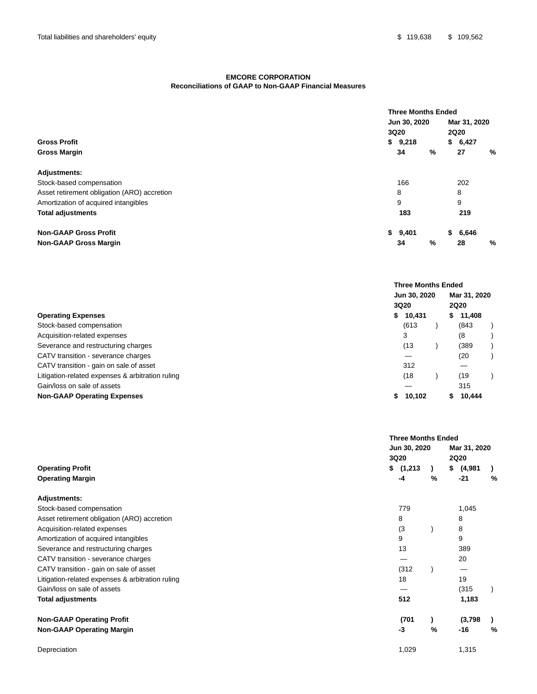# **EMCORE CORPORATION Reconciliations of GAAP to Non-GAAP Financial Measures**

|                                             |              | <b>Three Months Ended</b> |             |              |   |  |  |  |  |
|---------------------------------------------|--------------|---------------------------|-------------|--------------|---|--|--|--|--|
|                                             | Jun 30, 2020 |                           |             | Mar 31, 2020 |   |  |  |  |  |
|                                             | 3Q20         |                           | <b>2Q20</b> |              |   |  |  |  |  |
| <b>Gross Profit</b>                         | \$<br>9,218  |                           | \$          | 6,427        |   |  |  |  |  |
| <b>Gross Margin</b>                         | 34           | %                         | 27          |              | % |  |  |  |  |
| <b>Adjustments:</b>                         |              |                           |             |              |   |  |  |  |  |
| Stock-based compensation                    | 166          |                           | 202         |              |   |  |  |  |  |
| Asset retirement obligation (ARO) accretion | 8            |                           | 8           |              |   |  |  |  |  |
| Amortization of acquired intangibles        | 9            |                           | 9           |              |   |  |  |  |  |
| <b>Total adjustments</b>                    | 183          |                           |             | 219          |   |  |  |  |  |
| <b>Non-GAAP Gross Profit</b>                | \$<br>9,401  |                           | \$          | 6,646        |   |  |  |  |  |
| <b>Non-GAAP Gross Margin</b>                | 34           | %                         | 28          |              | % |  |  |  |  |

|                                                  | <b>Three Months Ended</b> |              |
|--------------------------------------------------|---------------------------|--------------|
|                                                  | Jun 30, 2020              | Mar 31, 2020 |
|                                                  | 3Q20                      | <b>2Q20</b>  |
| <b>Operating Expenses</b>                        | \$<br>10,431              | 11,408<br>S. |
| Stock-based compensation                         | (613)                     | (843         |
| Acquisition-related expenses                     | 3                         | (8           |
| Severance and restructuring charges              | (13                       | (389         |
| CATV transition - severance charges              |                           | (20          |
| CATV transition - gain on sale of asset          | 312                       | –            |
| Litigation-related expenses & arbitration ruling | (18                       | (19          |
| Gain/loss on sale of assets                      |                           | 315          |
| <b>Non-GAAP Operating Expenses</b>               | 10.102<br>S               | 10.444       |

|                                                  |               | <b>Three Months Ended</b> |              |              |  |  |  |  |  |
|--------------------------------------------------|---------------|---------------------------|--------------|--------------|--|--|--|--|--|
|                                                  | Jun 30, 2020  |                           | Mar 31, 2020 |              |  |  |  |  |  |
|                                                  | <b>3Q20</b>   |                           | <b>2Q20</b>  |              |  |  |  |  |  |
| <b>Operating Profit</b>                          | \$<br>(1,213) |                           | (4,981<br>\$ | $\mathbf{r}$ |  |  |  |  |  |
| <b>Operating Margin</b>                          | -4            | %                         | $-21$        | %            |  |  |  |  |  |
| <b>Adjustments:</b>                              |               |                           |              |              |  |  |  |  |  |
| Stock-based compensation                         | 779           |                           | 1,045        |              |  |  |  |  |  |
| Asset retirement obligation (ARO) accretion      | 8             |                           | 8            |              |  |  |  |  |  |
| Acquisition-related expenses                     | (3)           |                           | 8            |              |  |  |  |  |  |
| Amortization of acquired intangibles             | 9             |                           | 9            |              |  |  |  |  |  |
| Severance and restructuring charges              | 13            |                           | 389          |              |  |  |  |  |  |
| CATV transition - severance charges              |               |                           | 20           |              |  |  |  |  |  |
| CATV transition - gain on sale of asset          | (312)         |                           |              |              |  |  |  |  |  |
| Litigation-related expenses & arbitration ruling | 18            |                           | 19           |              |  |  |  |  |  |
| Gain/loss on sale of assets                      |               |                           | (315)        |              |  |  |  |  |  |
| <b>Total adjustments</b>                         | 512           |                           | 1,183        |              |  |  |  |  |  |
| <b>Non-GAAP Operating Profit</b>                 | (701)         |                           | (3,798)      |              |  |  |  |  |  |
| <b>Non-GAAP Operating Margin</b>                 | -3            | %                         | -16          | %            |  |  |  |  |  |
| Depreciation                                     | 1,029         |                           | 1,315        |              |  |  |  |  |  |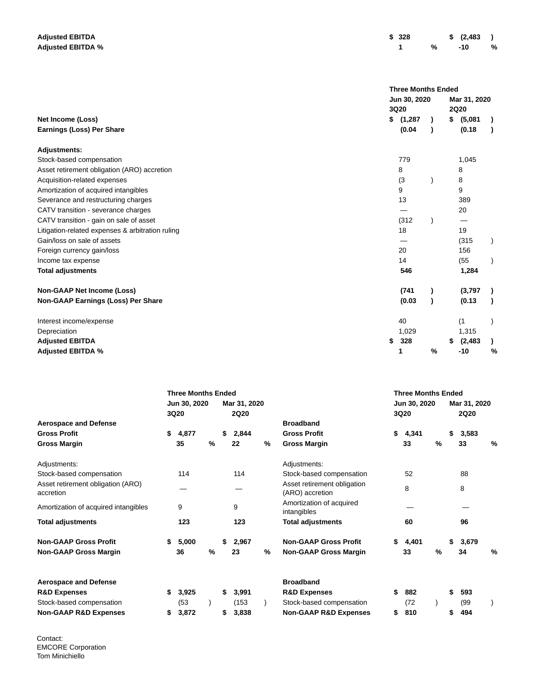| <b>Adjusted EBITDA</b>   | \$328          |      | \$(2,483) |   |
|--------------------------|----------------|------|-----------|---|
| <b>Adjusted EBITDA %</b> | $\blacksquare$ | $\%$ | -10       | % |

|                                                  |                | <b>Three Months Ended</b>   |  |  |  |  |  |  |  |  |  |
|--------------------------------------------------|----------------|-----------------------------|--|--|--|--|--|--|--|--|--|
|                                                  | Jun 30, 2020   | Mar 31, 2020                |  |  |  |  |  |  |  |  |  |
|                                                  | 3Q20           | <b>2Q20</b>                 |  |  |  |  |  |  |  |  |  |
| Net Income (Loss)                                | (1, 287)<br>\$ | $$^{(5,081)}$               |  |  |  |  |  |  |  |  |  |
| <b>Earnings (Loss) Per Share</b>                 | (0.04)         | (0.18)                      |  |  |  |  |  |  |  |  |  |
| <b>Adjustments:</b>                              |                |                             |  |  |  |  |  |  |  |  |  |
| Stock-based compensation                         | 779            | 1,045                       |  |  |  |  |  |  |  |  |  |
| Asset retirement obligation (ARO) accretion      | 8              | 8                           |  |  |  |  |  |  |  |  |  |
| Acquisition-related expenses                     | (3)            | 8                           |  |  |  |  |  |  |  |  |  |
| Amortization of acquired intangibles             | 9              | 9                           |  |  |  |  |  |  |  |  |  |
| Severance and restructuring charges              | 13             | 389                         |  |  |  |  |  |  |  |  |  |
| CATV transition - severance charges              |                | 20                          |  |  |  |  |  |  |  |  |  |
| CATV transition - gain on sale of asset          | (312)          |                             |  |  |  |  |  |  |  |  |  |
| Litigation-related expenses & arbitration ruling | 18             | 19                          |  |  |  |  |  |  |  |  |  |
| Gain/loss on sale of assets                      |                | (315)                       |  |  |  |  |  |  |  |  |  |
| Foreign currency gain/loss                       | 20             | 156                         |  |  |  |  |  |  |  |  |  |
| Income tax expense                               | 14             | (55)                        |  |  |  |  |  |  |  |  |  |
| <b>Total adjustments</b>                         | 546            | 1,284                       |  |  |  |  |  |  |  |  |  |
| <b>Non-GAAP Net Income (Loss)</b>                | (741)          | (3,797)                     |  |  |  |  |  |  |  |  |  |
| <b>Non-GAAP Earnings (Loss) Per Share</b>        | (0.03)         | (0.13)                      |  |  |  |  |  |  |  |  |  |
| Interest income/expense                          | 40             | (1)                         |  |  |  |  |  |  |  |  |  |
| Depreciation                                     | 1,029          | 1,315                       |  |  |  |  |  |  |  |  |  |
| <b>Adjusted EBITDA</b>                           | \$<br>328      | (2, 483)<br>\$              |  |  |  |  |  |  |  |  |  |
| <b>Adjusted EBITDA %</b>                         | 1              | $\frac{9}{6}$<br>$-10$<br>% |  |  |  |  |  |  |  |  |  |

|                                                                                                                         |         | <b>Three Months Ended</b><br>Jun 30, 2020<br><b>3Q20</b> |      |         | Mar 31, 2020<br><b>2Q20</b> |   |                                                                                                             | <b>Three Months Ended</b><br>Jun 30, 2020<br><b>3Q20</b> |                    |               | Mar 31, 2020<br><b>2Q20</b> |                    |   |
|-------------------------------------------------------------------------------------------------------------------------|---------|----------------------------------------------------------|------|---------|-----------------------------|---|-------------------------------------------------------------------------------------------------------------|----------------------------------------------------------|--------------------|---------------|-----------------------------|--------------------|---|
| <b>Aerospace and Defense</b><br><b>Gross Profit</b><br><b>Gross Margin</b>                                              | \$      | 4,877<br>35                                              | $\%$ | \$      | 2,844<br>22                 | % | <b>Broadband</b><br><b>Gross Profit</b><br><b>Gross Margin</b>                                              | \$                                                       | 4,341<br>33        | $\frac{9}{6}$ | \$                          | 3,583<br>33        | % |
| Adjustments:<br>Stock-based compensation<br>Asset retirement obligation (ARO)<br>accretion                              |         | 114                                                      |      |         | 114                         |   | Adjustments:<br>Stock-based compensation<br>Asset retirement obligation<br>(ARO) accretion                  |                                                          | 52<br>8            |               |                             | 88<br>8            |   |
| Amortization of acquired intangibles<br><b>Total adjustments</b>                                                        |         | 9<br>123                                                 |      |         | 9<br>123                    |   | Amortization of acquired<br>intangibles<br><b>Total adjustments</b>                                         |                                                          | 60                 |               |                             | 96                 |   |
| <b>Non-GAAP Gross Profit</b><br><b>Non-GAAP Gross Margin</b>                                                            | \$      | 5,000<br>36                                              | %    | \$      | 2,967<br>23                 | % | <b>Non-GAAP Gross Profit</b><br><b>Non-GAAP Gross Margin</b>                                                | \$                                                       | 4,401<br>33        | %             | \$                          | 3,679<br>34        | % |
| <b>Aerospace and Defense</b><br><b>R&amp;D Expenses</b><br>Stock-based compensation<br><b>Non-GAAP R&amp;D Expenses</b> | \$<br>S | 3,925<br>(53)<br>3,872                                   |      | S.<br>S | 3,991<br>(153)<br>3,838     |   | <b>Broadband</b><br><b>R&amp;D Expenses</b><br>Stock-based compensation<br><b>Non-GAAP R&amp;D Expenses</b> | \$                                                       | 882<br>(72)<br>810 |               | \$<br>S                     | 593<br>(99)<br>494 |   |